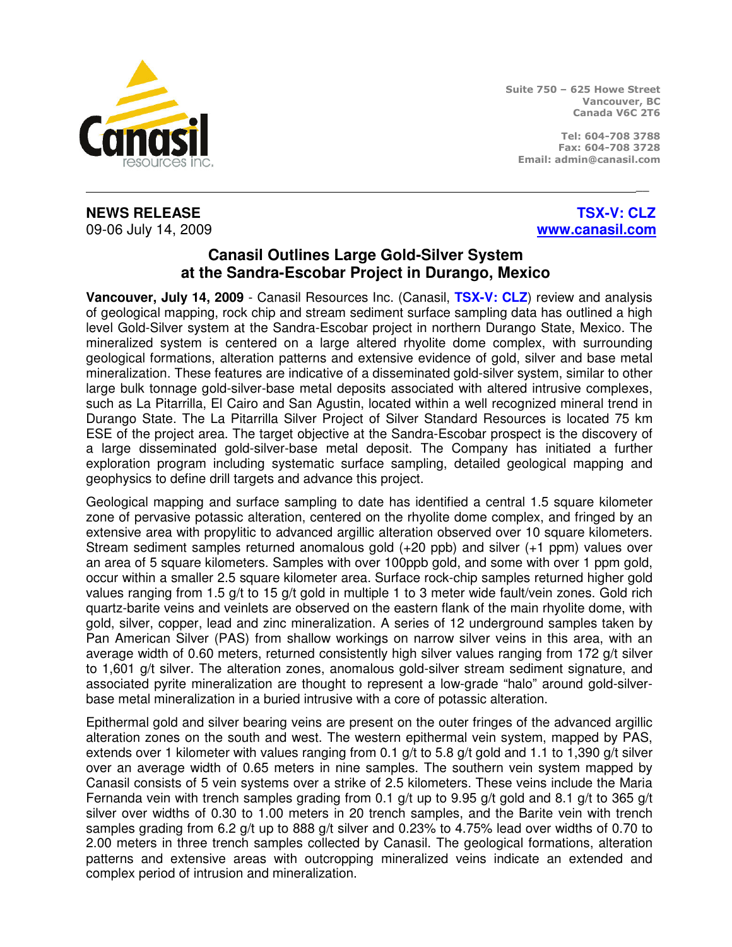

Suite 750 – 625 Howe Street Vancouver, BC Canada V6C 2T6

Tel: 604-708 3788 Fax: 604-708 3728 Email: admin@canasil.com

## **NEWS RELEASE TSX-V: CLZ**  09-06 July 14, 2009 **www.canasil.com**

## **Canasil Outlines Large Gold-Silver System at the Sandra-Escobar Project in Durango, Mexico**

\_\_

**Vancouver, July 14, 2009** - Canasil Resources Inc. (Canasil, **TSX-V: CLZ**) review and analysis of geological mapping, rock chip and stream sediment surface sampling data has outlined a high level Gold-Silver system at the Sandra-Escobar project in northern Durango State, Mexico. The mineralized system is centered on a large altered rhyolite dome complex, with surrounding geological formations, alteration patterns and extensive evidence of gold, silver and base metal mineralization. These features are indicative of a disseminated gold-silver system, similar to other large bulk tonnage gold-silver-base metal deposits associated with altered intrusive complexes, such as La Pitarrilla, El Cairo and San Agustin, located within a well recognized mineral trend in Durango State. The La Pitarrilla Silver Project of Silver Standard Resources is located 75 km ESE of the project area. The target objective at the Sandra-Escobar prospect is the discovery of a large disseminated gold-silver-base metal deposit. The Company has initiated a further exploration program including systematic surface sampling, detailed geological mapping and geophysics to define drill targets and advance this project.

Geological mapping and surface sampling to date has identified a central 1.5 square kilometer zone of pervasive potassic alteration, centered on the rhyolite dome complex, and fringed by an extensive area with propylitic to advanced argillic alteration observed over 10 square kilometers. Stream sediment samples returned anomalous gold (+20 ppb) and silver (+1 ppm) values over an area of 5 square kilometers. Samples with over 100ppb gold, and some with over 1 ppm gold, occur within a smaller 2.5 square kilometer area. Surface rock-chip samples returned higher gold values ranging from 1.5 g/t to 15 g/t gold in multiple 1 to 3 meter wide fault/vein zones. Gold rich quartz-barite veins and veinlets are observed on the eastern flank of the main rhyolite dome, with gold, silver, copper, lead and zinc mineralization. A series of 12 underground samples taken by Pan American Silver (PAS) from shallow workings on narrow silver veins in this area, with an average width of 0.60 meters, returned consistently high silver values ranging from 172 g/t silver to 1,601 g/t silver. The alteration zones, anomalous gold-silver stream sediment signature, and associated pyrite mineralization are thought to represent a low-grade "halo" around gold-silverbase metal mineralization in a buried intrusive with a core of potassic alteration.

Epithermal gold and silver bearing veins are present on the outer fringes of the advanced argillic alteration zones on the south and west. The western epithermal vein system, mapped by PAS, extends over 1 kilometer with values ranging from 0.1 g/t to 5.8 g/t gold and 1.1 to 1,390 g/t silver over an average width of 0.65 meters in nine samples. The southern vein system mapped by Canasil consists of 5 vein systems over a strike of 2.5 kilometers. These veins include the Maria Fernanda vein with trench samples grading from 0.1 g/t up to 9.95 g/t gold and 8.1 g/t to 365 g/t silver over widths of 0.30 to 1.00 meters in 20 trench samples, and the Barite vein with trench samples grading from 6.2 g/t up to 888 g/t silver and 0.23% to 4.75% lead over widths of 0.70 to 2.00 meters in three trench samples collected by Canasil. The geological formations, alteration patterns and extensive areas with outcropping mineralized veins indicate an extended and complex period of intrusion and mineralization.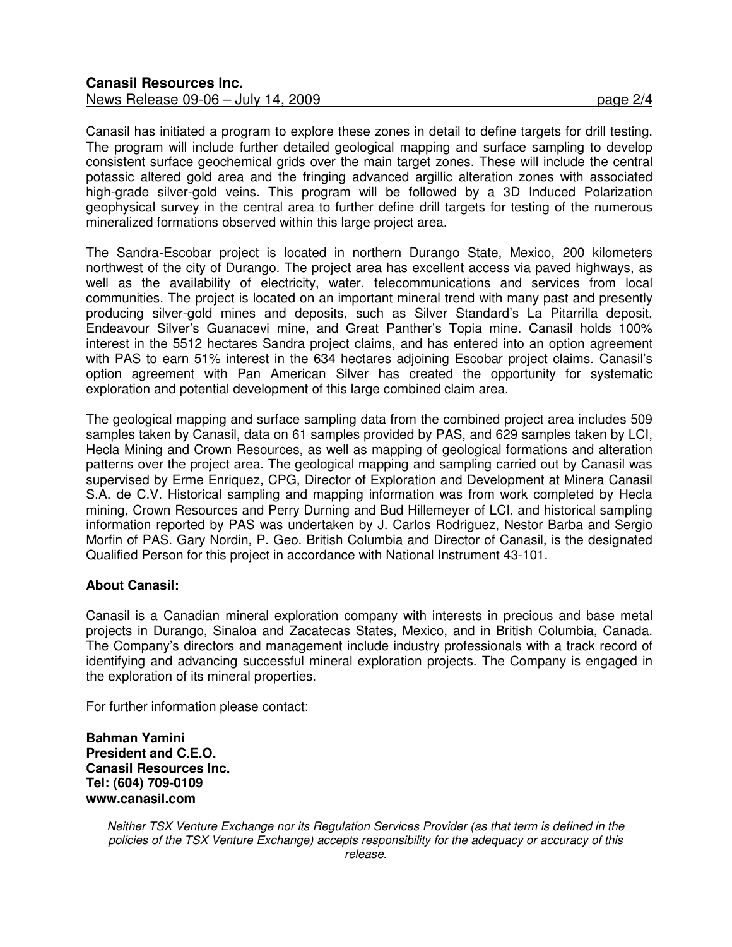Canasil has initiated a program to explore these zones in detail to define targets for drill testing. The program will include further detailed geological mapping and surface sampling to develop consistent surface geochemical grids over the main target zones. These will include the central potassic altered gold area and the fringing advanced argillic alteration zones with associated high-grade silver-gold veins. This program will be followed by a 3D Induced Polarization geophysical survey in the central area to further define drill targets for testing of the numerous mineralized formations observed within this large project area.

The Sandra-Escobar project is located in northern Durango State, Mexico, 200 kilometers northwest of the city of Durango. The project area has excellent access via paved highways, as well as the availability of electricity, water, telecommunications and services from local communities. The project is located on an important mineral trend with many past and presently producing silver-gold mines and deposits, such as Silver Standard's La Pitarrilla deposit, Endeavour Silver's Guanacevi mine, and Great Panther's Topia mine. Canasil holds 100% interest in the 5512 hectares Sandra project claims, and has entered into an option agreement with PAS to earn 51% interest in the 634 hectares adjoining Escobar project claims. Canasil's option agreement with Pan American Silver has created the opportunity for systematic exploration and potential development of this large combined claim area.

The geological mapping and surface sampling data from the combined project area includes 509 samples taken by Canasil, data on 61 samples provided by PAS, and 629 samples taken by LCI, Hecla Mining and Crown Resources, as well as mapping of geological formations and alteration patterns over the project area. The geological mapping and sampling carried out by Canasil was supervised by Erme Enriquez, CPG, Director of Exploration and Development at Minera Canasil S.A. de C.V. Historical sampling and mapping information was from work completed by Hecla mining, Crown Resources and Perry Durning and Bud Hillemeyer of LCI, and historical sampling information reported by PAS was undertaken by J. Carlos Rodriguez, Nestor Barba and Sergio Morfin of PAS. Gary Nordin, P. Geo. British Columbia and Director of Canasil, is the designated Qualified Person for this project in accordance with National Instrument 43-101.

## **About Canasil:**

Canasil is a Canadian mineral exploration company with interests in precious and base metal projects in Durango, Sinaloa and Zacatecas States, Mexico, and in British Columbia, Canada. The Company's directors and management include industry professionals with a track record of identifying and advancing successful mineral exploration projects. The Company is engaged in the exploration of its mineral properties.

For further information please contact:

**Bahman Yamini President and C.E.O. Canasil Resources Inc. Tel: (604) 709-0109 www.canasil.com** 

> Neither TSX Venture Exchange nor its Regulation Services Provider (as that term is defined in the policies of the TSX Venture Exchange) accepts responsibility for the adequacy or accuracy of this release.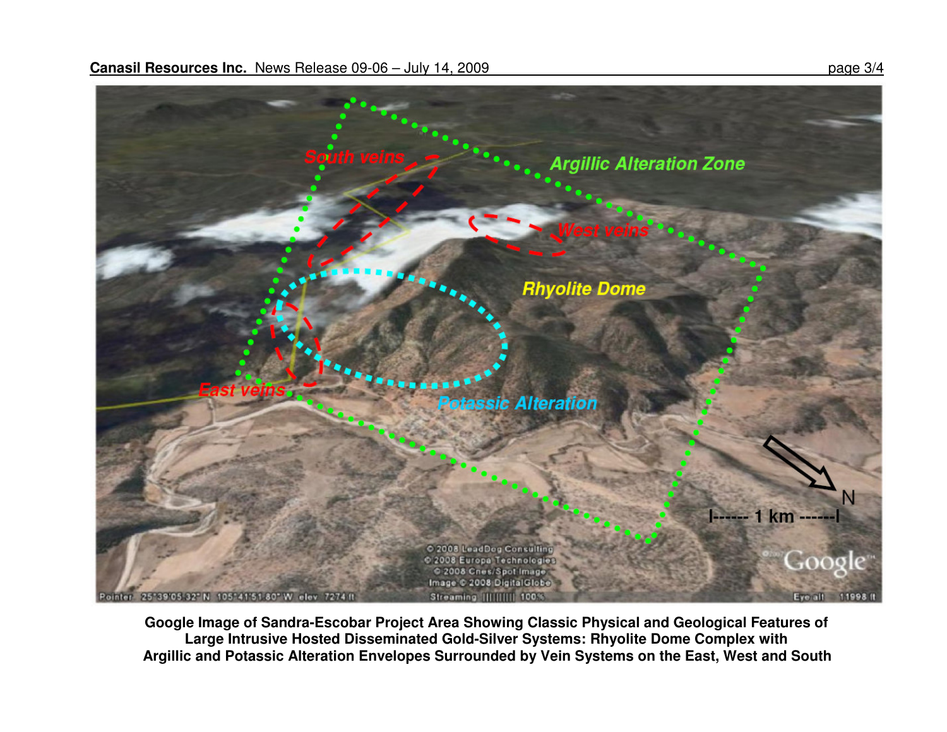

**Google Image of Sandra-Escobar Project Area Showing Classic Physical and Geological Features of Large Intrusive Hosted Disseminated Gold-Silver Systems: Rhyolite Dome Complex with Argillic and Potassic Alteration Envelopes Surrounded by Vein Systems on the East, West and South**